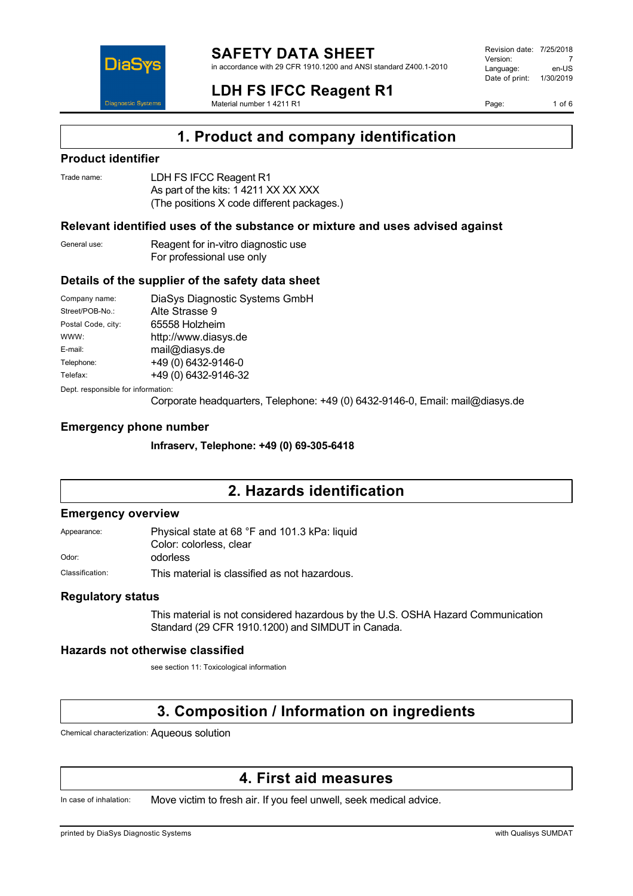

**LDH FS IFCC Reagent R1** Material number 1 4211 R1

Revision date: 7/25/2018 Version: 7<br>Language: en-LIS Language: Date of print: 1/30/2019

Page: 1 of 6

# **1. Product and company identification**

## **Product identifier**

| Trade name: | LDH FS IFCC Reagent R1                     |
|-------------|--------------------------------------------|
|             | As part of the kits: 1 4211 XX XX XXX      |
|             | (The positions X code different packages.) |

### **Relevant identified uses of the substance or mixture and uses advised against**

General use: Reagent for in-vitro diagnostic use For professional use only

#### **Details of the supplier of the safety data sheet**

| Company name:                      | DiaSys Diagnostic Systems GmbH |  |
|------------------------------------|--------------------------------|--|
| Street/POB-No.:                    | Alte Strasse 9                 |  |
| Postal Code, city:                 | 65558 Holzheim                 |  |
| WWW:                               | http://www.diasys.de           |  |
| E-mail:                            | mail@diasys.de                 |  |
| Telephone:                         | +49 (0) 6432-9146-0            |  |
| Telefax:                           | +49 (0) 6432-9146-32           |  |
| Dept. responsible for information: |                                |  |

Corporate headquarters, Telephone: +49 (0) 6432-9146-0, Email: mail@diasys.de

#### **Emergency phone number**

**Infraserv, Telephone: +49 (0) 69-305-6418**

# **2. Hazards identification**

#### **Emergency overview**

Appearance: Physical state at 68 °F and 101.3 kPa: liquid Color: colorless, clear Odor: odorless

Classification: This material is classified as not hazardous.

#### **Regulatory status**

This material is not considered hazardous by the U.S. OSHA Hazard Communication Standard (29 CFR 1910.1200) and SIMDUT in Canada.

#### **Hazards not otherwise classified**

see section 11: Toxicological information

# **3. Composition / Information on ingredients**

Chemical characterization: Aqueous solution

## **4. First aid measures**

In case of inhalation: Move victim to fresh air. If you feel unwell, seek medical advice.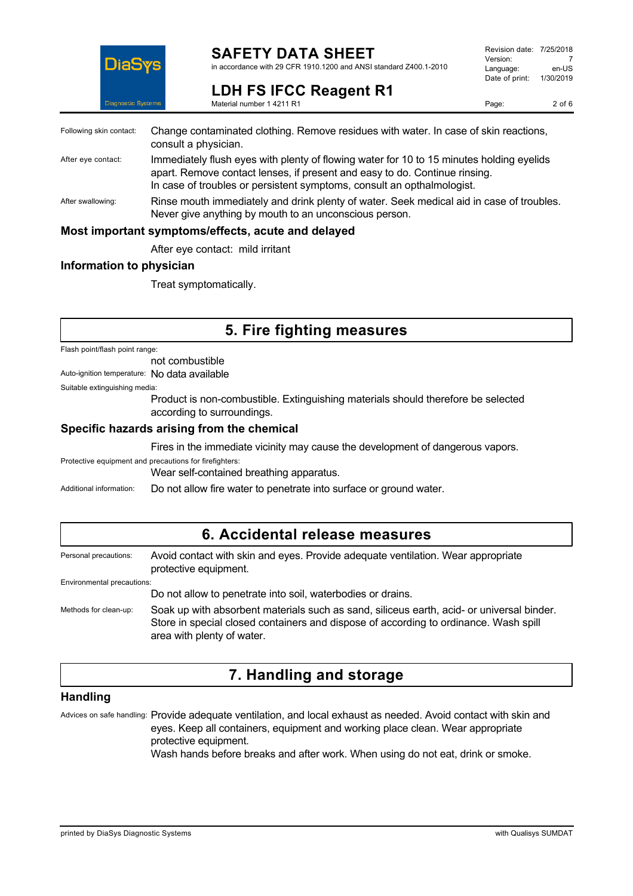

# **SAFETY DATA SHEET**

in accordance with 29 CFR 1910.1200 and ANSI standard Z400.1-2010

| Revision date: 7/25/2018 |           |
|--------------------------|-----------|
| Version:                 |           |
| Language:                | en-US     |
| Date of print:           | 1/30/2019 |
|                          |           |

**LDH FS IFCC Reagent R1** Material number 1 4211 R1

| Following skin contact: | Change contaminated clothing. Remove residues with water. In case of skin reactions,<br>consult a physician.                                                                                                                                     |
|-------------------------|--------------------------------------------------------------------------------------------------------------------------------------------------------------------------------------------------------------------------------------------------|
| After eye contact:      | Immediately flush eyes with plenty of flowing water for 10 to 15 minutes holding eyelids<br>apart. Remove contact lenses, if present and easy to do. Continue rinsing.<br>In case of troubles or persistent symptoms, consult an opthalmologist. |
| After swallowing:       | Rinse mouth immediately and drink plenty of water. Seek medical aid in case of troubles.<br>Never give anything by mouth to an unconscious person.                                                                                               |
|                         | Most important symptoms/effects, acute and delayed                                                                                                                                                                                               |
|                         | After eye contact: mild irritant                                                                                                                                                                                                                 |

#### **Information to physician**

Treat symptomatically.

# **5. Fire fighting measures**

Flash point/flash point range:

not combustible

Auto-ignition temperature: No data available

Suitable extinguishing media:

Product is non-combustible. Extinguishing materials should therefore be selected according to surroundings.

#### **Specific hazards arising from the chemical**

Fires in the immediate vicinity may cause the development of dangerous vapors.

Protective equipment and precautions for firefighters:

Wear self-contained breathing apparatus.

Additional information: Do not allow fire water to penetrate into surface or ground water.

## **6. Accidental release measures**

| Personal precautions:      | Avoid contact with skin and eyes. Provide adequate ventilation. Wear appropriate<br>protective equipment.                                                                                                       |
|----------------------------|-----------------------------------------------------------------------------------------------------------------------------------------------------------------------------------------------------------------|
| Environmental precautions: |                                                                                                                                                                                                                 |
|                            | Do not allow to penetrate into soil, waterbodies or drains.                                                                                                                                                     |
| Methods for clean-up:      | Soak up with absorbent materials such as sand, siliceus earth, acid- or universal binder.<br>Store in special closed containers and dispose of according to ordinance. Wash spill<br>area with plenty of water. |

# **7. Handling and storage**

## **Handling**

Advices on safe handling: Provide adequate ventilation, and local exhaust as needed. Avoid contact with skin and eyes. Keep all containers, equipment and working place clean. Wear appropriate protective equipment. Wash hands before breaks and after work. When using do not eat, drink or smoke.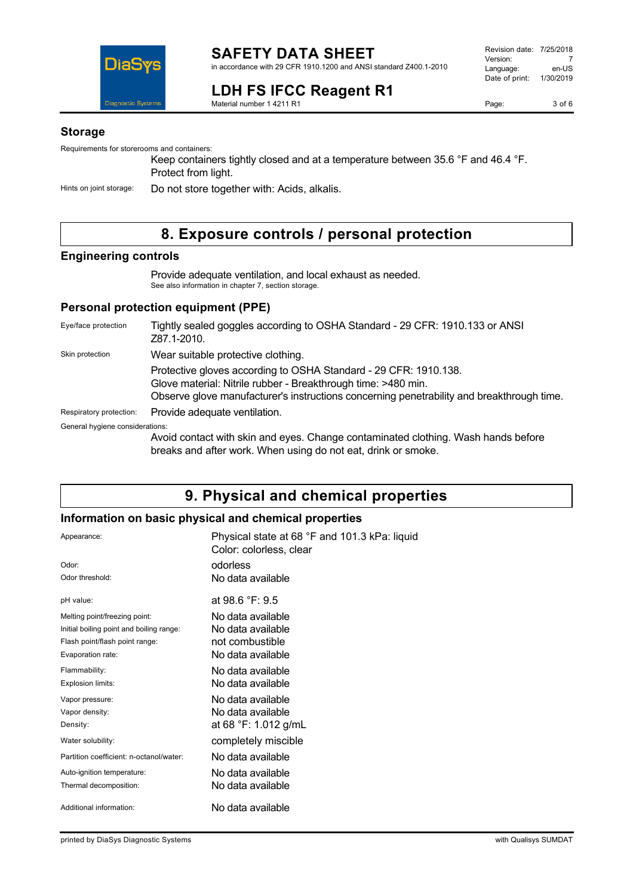

# **LDH FS IFCC Reagent R1**

Revision date: 7/25/2018 Version: 7<br>Language: en-US Language: Date of print: 1/30/2019

Material number 1 4211 R1

## **Storage**

Requirements for storerooms and containers:

Keep containers tightly closed and at a temperature between 35.6 °F and 46.4 °F. Protect from light.

Hints on joint storage: Do not store together with: Acids, alkalis.

# **8. Exposure controls / personal protection**

## **Engineering controls**

Provide adequate ventilation, and local exhaust as needed. See also information in chapter 7, section storage.

### **Personal protection equipment (PPE)**

| Eye/face protection             | Tightly sealed goggles according to OSHA Standard - 29 CFR: 1910.133 or ANSI<br>Z87.1-2010.                                                                                                                                    |
|---------------------------------|--------------------------------------------------------------------------------------------------------------------------------------------------------------------------------------------------------------------------------|
| Skin protection                 | Wear suitable protective clothing.                                                                                                                                                                                             |
|                                 | Protective gloves according to OSHA Standard - 29 CFR: 1910.138.<br>Glove material: Nitrile rubber - Breakthrough time: >480 min.<br>Observe glove manufacturer's instructions concerning penetrability and breakthrough time. |
| Respiratory protection:         | Provide adequate ventilation.                                                                                                                                                                                                  |
| General hygiene considerations: |                                                                                                                                                                                                                                |
|                                 | Avoid contact with skin and eyes. Change contaminated clothing. Wash hands before<br>breaks and after work. When using do not eat, drink or smoke.                                                                             |

# **9. Physical and chemical properties**

#### **Information on basic physical and chemical properties**

| Appearance:                              | Physical state at 68 °F and 101.3 kPa: liquid<br>Color: colorless, clear |
|------------------------------------------|--------------------------------------------------------------------------|
| Odor:                                    | odorless                                                                 |
| Odor threshold:                          | No data available                                                        |
| pH value:                                | at 98.6 $\degree$ F: 9.5                                                 |
| Melting point/freezing point:            | No data available                                                        |
| Initial boiling point and boiling range: | No data available                                                        |
| Flash point/flash point range:           | not combustible                                                          |
| Evaporation rate:                        | No data available                                                        |
| Flammability:                            | No data available                                                        |
| Explosion limits:                        | No data available                                                        |
| Vapor pressure:                          | No data available                                                        |
| Vapor density:                           | No data available                                                        |
| Density:                                 | at 68 °F: 1.012 g/mL                                                     |
| Water solubility:                        | completely miscible                                                      |
| Partition coefficient: n-octanol/water:  | No data available                                                        |
| Auto-ignition temperature:               | No data available                                                        |
| Thermal decomposition:                   | No data available                                                        |
| Additional information:                  | No data available                                                        |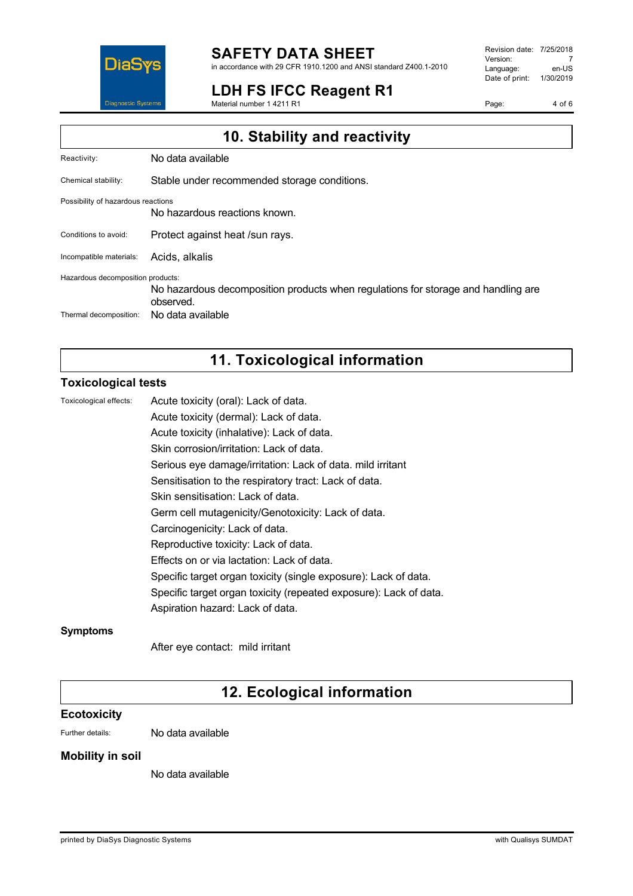

**LDH FS IFCC Reagent R1**

Material number 1 4211 R1

Revision date: 7/25/2018 Version: 7<br>Language: en-US Language: Date of print: 1/30/2019

Page: 4 of 6

| 10. Stability and reactivity       |                                                                                                |  |
|------------------------------------|------------------------------------------------------------------------------------------------|--|
| Reactivity:                        | No data available                                                                              |  |
| Chemical stability:                | Stable under recommended storage conditions.                                                   |  |
| Possibility of hazardous reactions | No hazardous reactions known.                                                                  |  |
| Conditions to avoid:               | Protect against heat /sun rays.                                                                |  |
| Incompatible materials:            | Acids, alkalis                                                                                 |  |
| Hazardous decomposition products:  | No hazardous decomposition products when regulations for storage and handling are<br>observed. |  |
| Thermal decomposition:             | No data available                                                                              |  |

# **11. Toxicological information**

### **Toxicological tests**

| Toxicological effects: | Acute toxicity (oral): Lack of data.                              |
|------------------------|-------------------------------------------------------------------|
|                        | Acute toxicity (dermal): Lack of data.                            |
|                        | Acute toxicity (inhalative): Lack of data.                        |
|                        | Skin corrosion/irritation: Lack of data.                          |
|                        | Serious eye damage/irritation: Lack of data. mild irritant        |
|                        | Sensitisation to the respiratory tract: Lack of data.             |
|                        | Skin sensitisation: Lack of data.                                 |
|                        | Germ cell mutagenicity/Genotoxicity: Lack of data.                |
|                        | Carcinogenicity: Lack of data.                                    |
|                        | Reproductive toxicity: Lack of data.                              |
|                        | Effects on or via lactation: Lack of data.                        |
|                        | Specific target organ toxicity (single exposure): Lack of data.   |
|                        | Specific target organ toxicity (repeated exposure): Lack of data. |
|                        | Aspiration hazard: Lack of data.                                  |
| <b>Symptoms</b>        |                                                                   |

After eye contact: mild irritant

# **12. Ecological information**

## **Ecotoxicity**

Further details: No data available

### **Mobility in soil**

No data available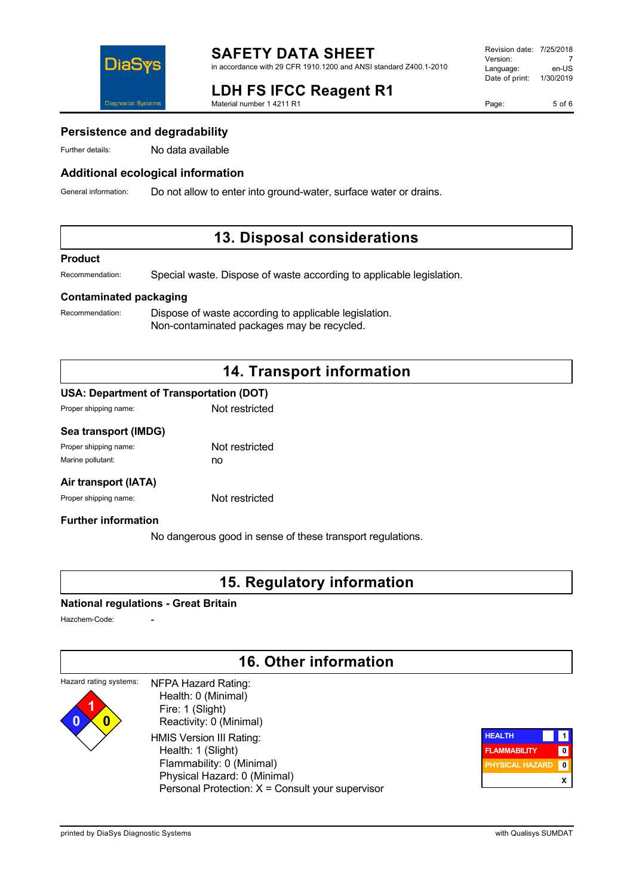

# **LDH FS IFCC Reagent R1**

Material number 1 4211 R1

Page: 5 of 6

## **Persistence and degradability**

Further details: No data available

## **Additional ecological information**

General information: Do not allow to enter into ground-water, surface water or drains.

## **13. Disposal considerations**

#### **Product**

Recommendation: Special waste. Dispose of waste according to applicable legislation.

## **Contaminated packaging**

Recommendation: Dispose of waste according to applicable legislation. Non-contaminated packages may be recycled.

# **14. Transport information**

#### **USA: Department of Transportation (DOT)**

| Proper shipping name: | Not restricted |
|-----------------------|----------------|
|                       |                |

#### **Sea transport (IMDG)**

| Proper shipping name: | Not restricted |
|-----------------------|----------------|
| Marine pollutant:     | no             |

### **Air transport (IATA)**

Proper shipping name: Not restricted

## **Further information**

No dangerous good in sense of these transport regulations.

## **15. Regulatory information**

#### **National regulations - Great Britain**

Hazchem-Code:

# **16. Other information**

| Hazard rating systems: | NFPA Hazard Rating:                              |  |
|------------------------|--------------------------------------------------|--|
|                        | Health: 0 (Minimal)                              |  |
|                        | Fire: 1 (Slight)                                 |  |
| 0                      | Reactivity: 0 (Minimal)                          |  |
|                        | HMIS Version III Rating:                         |  |
|                        | Health: 1 (Slight)                               |  |
|                        | Flammability: 0 (Minimal)                        |  |
|                        | Physical Hazard: 0 (Minimal)                     |  |
|                        | Personal Protection: X = Consult your supervisor |  |